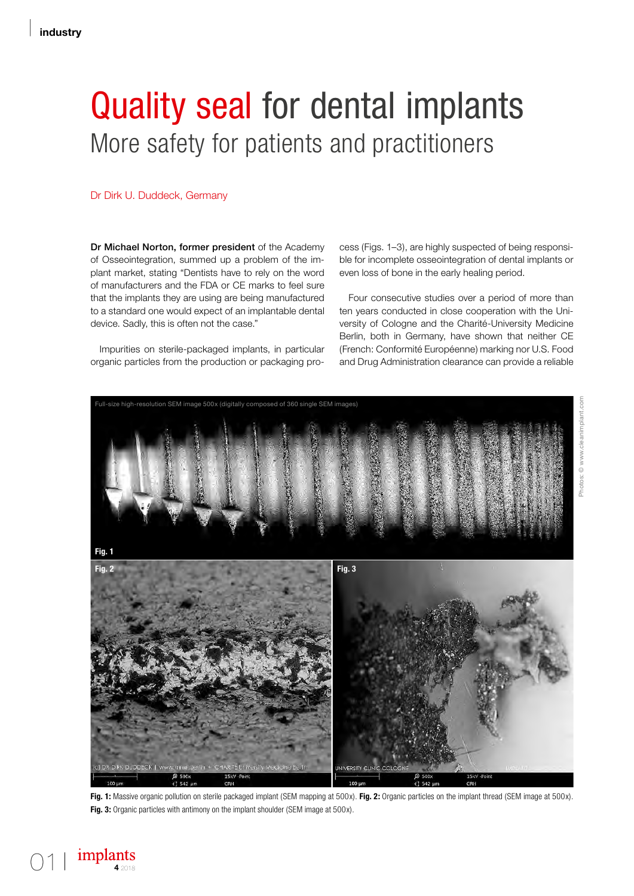# Quality seal for dental implants More safety for patients and practitioners

## Dr Dirk U. Duddeck, Germany

Dr Michael Norton, former president of the Academy of Osseointegration, summed up a problem of the implant market, stating "Dentists have to rely on the word of manufacturers and the FDA or CE marks to feel sure that the implants they are using are being manufactured to a standard one would expect of an implantable dental device. Sadly, this is often not the case."

Impurities on sterile-packaged implants, in particular organic particles from the production or packaging pro-

cess (Figs. 1–3), are highly suspected of being responsible for incomplete osseointegration of dental implants or even loss of bone in the early healing period.

Four consecutive studies over a period of more than ten years conducted in close cooperation with the University of Cologne and the Charité-University Medicine Berlin, both in Germany, have shown that neither CE (French: Conformité Européenne) marking nor U.S. Food and Drug Administration clearance can provide a reliable



**Fig. 1:** Massive organic pollution on sterile packaged implant (SEM mapping at 500x). **Fig. 2:** Organic particles on the implant thread (SEM image at 500x). **Fig. 3:** Organic particles with antimony on the implant shoulder (SEM image at 500x).